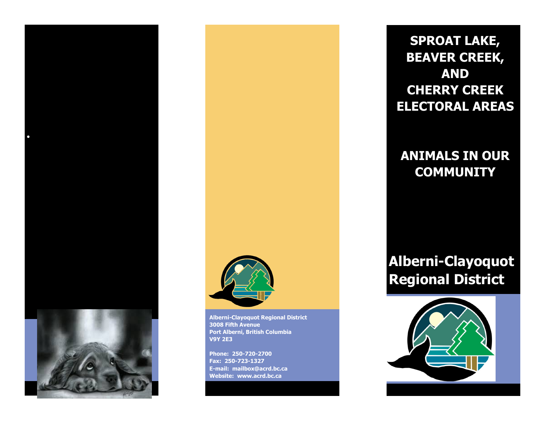

**Alberni-Clayoquot Regional District 3008 Fifth Avenue Port Alberni, British Columbia V9Y 2E3**

**Phone: 250-720-2700 Fax: 250-723-1327 E-mail: mailbox@acrd.bc.ca Website: www.acrd.bc.ca** 

**SPROAT LAKE, BEAVER CREEK, AND CHERRY CREEK ELECTORAL AREAS**

# **ANIMALS IN OUR COMMUNITY**

**Alberni-Clayoquot Regional District**